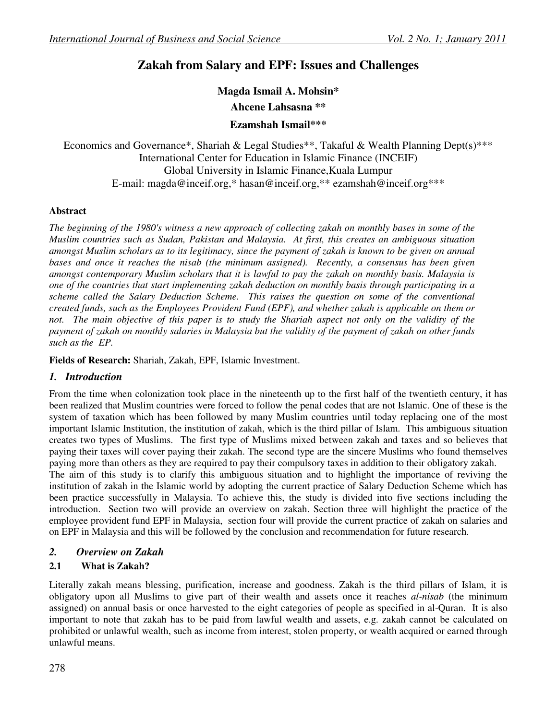# **Zakah from Salary and EPF: Issues and Challenges**

#### **Magda Ismail A. Mohsin\***

**Ahcene Lahsasna \*\*** 

### **Ezamshah Ismail\*\*\***

Economics and Governance\*, Shariah & Legal Studies\*\*, Takaful & Wealth Planning Dept(s)\*\*\* International Center for Education in Islamic Finance (INCEIF) Global University in Islamic Finance,Kuala Lumpur E-mail: magda@inceif.org,\* hasan@inceif.org,\*\* ezamshah@inceif.org\*\*\*

### **Abstract**

*The beginning of the 1980's witness a new approach of collecting zakah on monthly bases in some of the Muslim countries such as Sudan, Pakistan and Malaysia. At first, this creates an ambiguous situation amongst Muslim scholars as to its legitimacy, since the payment of zakah is known to be given on annual bases and once it reaches the nisab (the minimum assigned). Recently, a consensus has been given amongst contemporary Muslim scholars that it is lawful to pay the zakah on monthly basis. Malaysia is one of the countries that start implementing zakah deduction on monthly basis through participating in a scheme called the Salary Deduction Scheme. This raises the question on some of the conventional created funds, such as the Employees Provident Fund (EPF), and whether zakah is applicable on them or not. The main objective of this paper is to study the Shariah aspect not only on the validity of the payment of zakah on monthly salaries in Malaysia but the validity of the payment of zakah on other funds such as the EP.* 

**Fields of Research:** Shariah, Zakah, EPF, Islamic Investment.

### *1. Introduction*

From the time when colonization took place in the nineteenth up to the first half of the twentieth century, it has been realized that Muslim countries were forced to follow the penal codes that are not Islamic. One of these is the system of taxation which has been followed by many Muslim countries until today replacing one of the most important Islamic Institution, the institution of zakah, which is the third pillar of Islam. This ambiguous situation creates two types of Muslims. The first type of Muslims mixed between zakah and taxes and so believes that paying their taxes will cover paying their zakah. The second type are the sincere Muslims who found themselves paying more than others as they are required to pay their compulsory taxes in addition to their obligatory zakah. The aim of this study is to clarify this ambiguous situation and to highlight the importance of reviving the institution of zakah in the Islamic world by adopting the current practice of Salary Deduction Scheme which has been practice successfully in Malaysia. To achieve this, the study is divided into five sections including the introduction. Section two will provide an overview on zakah. Section three will highlight the practice of the employee provident fund EPF in Malaysia, section four will provide the current practice of zakah on salaries and on EPF in Malaysia and this will be followed by the conclusion and recommendation for future research.

### *2. Overview on Zakah*

### **2.1 What is Zakah?**

Literally zakah means blessing, purification, increase and goodness. Zakah is the third pillars of Islam, it is obligatory upon all Muslims to give part of their wealth and assets once it reaches *al-nisab* (the minimum assigned) on annual basis or once harvested to the eight categories of people as specified in al-Quran. It is also important to note that zakah has to be paid from lawful wealth and assets, e.g. zakah cannot be calculated on prohibited or unlawful wealth, such as income from interest, stolen property, or wealth acquired or earned through unlawful means.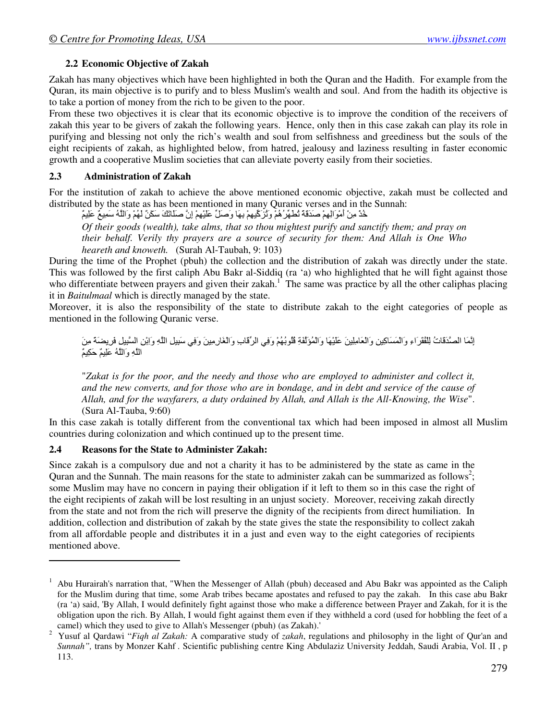### **2.2 Economic Objective of Zakah**

Zakah has many objectives which have been highlighted in both the Quran and the Hadith. For example from the Quran, its main objective is to purify and to bless Muslim's wealth and soul. And from the hadith its objective is to take a portion of money from the rich to be given to the poor.

From these two objectives it is clear that its economic objective is to improve the condition of the receivers of zakah this year to be givers of zakah the following years. Hence, only then in this case zakah can play its role in purifying and blessing not only the rich's wealth and soul from selfishness and greediness but the souls of the eight recipients of zakah, as highlighted below, from hatred, jealousy and laziness resulting in faster economic growth and a cooperative Muslim societies that can alleviate poverty easily from their societies.

### **2.3 Administration of Zakah**

For the institution of zakah to achieve the above mentioned economic objective, zakah must be collected and distributed by the state as has been mentioned in many Quranic verses and in the Sunnah:

خُدْ مِنْ أَمْوَالِهِمْ صَدَقَةً تُطْهِّرُ هُمْ وَتُزَكِّيهِمْ بِهَا وَصَلٍّ عَلَيْهِمْ إِنَّ صَلَّاتَكَ سَكَنٌ لَهُمْ وَاللَّهُ سَمِيعٌ عَلِيمٌ

*Of their goods (wealth), take alms, that so thou mightest purify and sanctify them; and pray on their behalf. Verily thy prayers are a source of security for them: And Allah is One Who heareth and knoweth.* (Surah Al-Taubah, 9: 103)

During the time of the Prophet (pbuh) the collection and the distribution of zakah was directly under the state. This was followed by the first caliph Abu Bakr al-Siddiq (ra 'a) who highlighted that he will fight against those who differentiate between prayers and given their zakah.<sup>1</sup> The same was practice by all the other caliphas placing it in *Baitulmaal* which is directly managed by the state.

Moreover, it is also the responsibility of the state to distribute zakah to the eight categories of people as mentioned in the following Quranic verse.

إِنَّمَا الْصَّدَقَاتُ لِلْفُقَرَاءِ وَالْمَسَاكِينِ وَالْعَامِلِينَ عَلَيْهَا وَالْمُؤَلَّفَةِ فُلُوبُهُمْ وَفِي الرِّقَابِ وَالْغَارِمِينَ وَفِي سَبِيلِ اللَّهِ وَاِبْنِ السَّبِيلِ فَرِيضَةً مِنَ الْذُهِ وَاللَّهُ عَلِيمٌ حَكِيمٌ

"*Zakat is for the poor, and the needy and those who are employed to administer and collect it,*  and the new converts, and for those who are in bondage, and in debt and service of the cause of *Allah, and for the wayfarers, a duty ordained by Allah, and Allah is the All-Knowing, the Wise*". (Sura Al-Tauba, 9:60)

In this case zakah is totally different from the conventional tax which had been imposed in almost all Muslim countries during colonization and which continued up to the present time.

### **2.4 Reasons for the State to Administer Zakah:**

<u>.</u>

Since zakah is a compulsory due and not a charity it has to be administered by the state as came in the Quran and the Sunnah. The main reasons for the state to administer zakah can be summarized as follows<sup>2</sup>; some Muslim may have no concern in paying their obligation if it left to them so in this case the right of the eight recipients of zakah will be lost resulting in an unjust society. Moreover, receiving zakah directly from the state and not from the rich will preserve the dignity of the recipients from direct humiliation. In addition, collection and distribution of zakah by the state gives the state the responsibility to collect zakah from all affordable people and distributes it in a just and even way to the eight categories of recipients mentioned above.

<sup>1</sup> Abu Hurairah's narration that, "When the Messenger of Allah (pbuh) deceased and Abu Bakr was appointed as the Caliph for the Muslim during that time, some Arab tribes became apostates and refused to pay the zakah. In this case abu Bakr (ra 'a) said, 'By Allah, I would definitely fight against those who make a difference between Prayer and Zakah, for it is the obligation upon the rich. By Allah, I would fight against them even if they withheld a cord (used for hobbling the feet of a camel) which they used to give to Allah's Messenger (pbuh) (as Zakah).'

<sup>2</sup> Yusuf al Qardawi "*Fiqh al Zakah:* A comparative study of *zakah*, regulations and philosophy in the light of Qur'an and *Sunnah",* trans by Monzer Kahf *.* Scientific publishing centre King Abdulaziz University Jeddah, Saudi Arabia, Vol. II , p 113.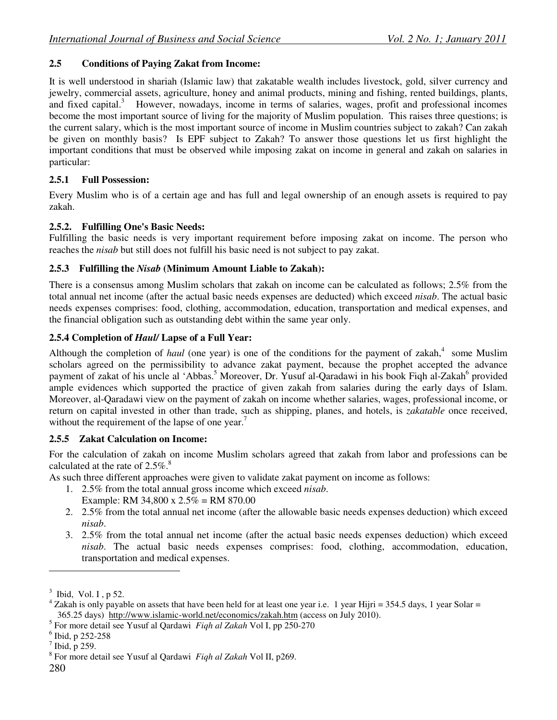### **2.5 Conditions of Paying Zakat from Income:**

It is well understood in shariah (Islamic law) that zakatable wealth includes livestock, gold, silver currency and jewelry, commercial assets, agriculture, honey and animal products, mining and fishing, rented buildings, plants, and fixed capital.<sup>3</sup> However, nowadays, income in terms of salaries, wages, profit and professional incomes become the most important source of living for the majority of Muslim population. This raises three questions; is the current salary, which is the most important source of income in Muslim countries subject to zakah? Can zakah be given on monthly basis? Is EPF subject to Zakah? To answer those questions let us first highlight the important conditions that must be observed while imposing zakat on income in general and zakah on salaries in particular:

# **2.5.1 Full Possession:**

Every Muslim who is of a certain age and has full and legal ownership of an enough assets is required to pay zakah.

# **2.5.2. Fulfilling One's Basic Needs:**

Fulfilling the basic needs is very important requirement before imposing zakat on income. The person who reaches the *nisab* but still does not fulfill his basic need is not subject to pay zakat.

# **2.5.3 Fulfilling the** *Nisab* **(Minimum Amount Liable to Zakah):**

There is a consensus among Muslim scholars that zakah on income can be calculated as follows; 2.5% from the total annual net income (after the actual basic needs expenses are deducted) which exceed *nisab*. The actual basic needs expenses comprises: food, clothing, accommodation, education, transportation and medical expenses, and the financial obligation such as outstanding debt within the same year only.

# **2.5.4 Completion of** *Haul/* **Lapse of a Full Year:**

Although the completion of *haul* (one year) is one of the conditions for the payment of zakah,<sup>4</sup> some Muslim scholars agreed on the permissibility to advance zakat payment, because the prophet accepted the advance payment of zakat of his uncle al 'Abbas.<sup>5</sup> Moreover, Dr. Yusuf al-Qaradawi in his book Fiqh al-Zakah<sup>6</sup> provided ample evidences which supported the practice of given zakah from salaries during the early days of Islam. Moreover, al-Qaradawi view on the payment of zakah on income whether salaries, wages, professional income, or return on capital invested in other than trade, such as shipping, planes, and hotels, is *zakatable* once received, without the requirement of the lapse of one year.<sup>7</sup>

# **2.5.5 Zakat Calculation on Income:**

For the calculation of zakah on income Muslim scholars agreed that zakah from labor and professions can be calculated at the rate of  $2.5\%$ .<sup>8</sup>

As such three different approaches were given to validate zakat payment on income as follows:

- 1. 2.5% from the total annual gross income which exceed *nisab*.
	- Example: RM 34,800 x 2.5% = RM 870.00
- 2. 2.5% from the total annual net income (after the allowable basic needs expenses deduction) which exceed *nisab*.
- 3. 2.5% from the total annual net income (after the actual basic needs expenses deduction) which exceed *nisab*. The actual basic needs expenses comprises: food, clothing, accommodation, education, transportation and medical expenses.

-

 $3$  Ibid, Vol. I, p 52.

<sup>4</sup> Zakah is only payable on assets that have been held for at least one year i.e. 1 year Hijri = 354.5 days, 1 year Solar = 365.25 days) http://www.islamic-world.net/economics/zakah.htm (access on July 2010).

<sup>5</sup> For more detail see Yusuf al Qardawi *Fiqh al Zakah* Vol I, pp 250-270

 $<sup>6</sup>$  Ibid, p 252-258</sup>

 $<sup>7</sup>$  Ibid, p 259.</sup>

<sup>8</sup> For more detail see Yusuf al Qardawi *Fiqh al Zakah* Vol II, p269.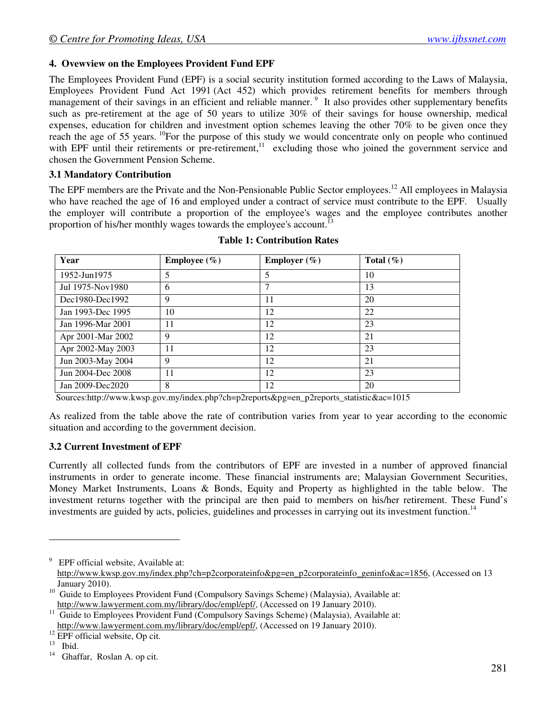#### **4. Ovewview on the Employees Provident Fund EPF**

The Employees Provident Fund (EPF) is a social security institution formed according to the Laws of Malaysia, Employees Provident Fund Act 1991 (Act 452) which provides retirement benefits for members through management of their savings in an efficient and reliable manner.<sup>9</sup> It also provides other supplementary benefits such as pre-retirement at the age of 50 years to utilize 30% of their savings for house ownership, medical expenses, education for children and investment option schemes leaving the other 70% to be given once they reach the age of 55 years.<sup>10</sup>For the purpose of this study we would concentrate only on people who continued with EPF until their retirements or pre-retirement,<sup>11</sup> excluding those who joined the government service and chosen the Government Pension Scheme.

#### **3.1 Mandatory Contribution**

The EPF members are the Private and the Non-Pensionable Public Sector employees.<sup>12</sup> All employees in Malaysia who have reached the age of 16 and employed under a contract of service must contribute to the EPF. Usually the employer will contribute a proportion of the employee's wages and the employee contributes another proportion of his/her monthly wages towards the employee's account.<sup>13</sup>

| Year              | <b>Employee</b> $(\%)$ | <b>Employer</b> $(\%)$ | Total $(\% )$ |
|-------------------|------------------------|------------------------|---------------|
| 1952-Jun1975      | 5                      | 5                      | 10            |
| Jul 1975-Nov1980  | 6                      |                        | 13            |
| Dec1980-Dec1992   | 9                      | 11                     | 20            |
| Jan 1993-Dec 1995 | 10                     | 12                     | 22            |
| Jan 1996-Mar 2001 | 11                     | 12                     | 23            |
| Apr 2001-Mar 2002 | 9                      | 12                     | 21            |
| Apr 2002-May 2003 | 11                     | 12                     | 23            |
| Jun 2003-May 2004 | 9                      | 12                     | 21            |
| Jun 2004-Dec 2008 | 11                     | 12                     | 23            |
| Jan 2009-Dec2020  | 8                      | 12                     | 20            |

#### **Table 1: Contribution Rates**

Sources:http://www.kwsp.gov.my/index.php?ch=p2reports&pg=en\_p2reports\_statistic&ac=1015

As realized from the table above the rate of contribution varies from year to year according to the economic situation and according to the government decision.

#### **3.2 Current Investment of EPF**

Currently all collected funds from the contributors of EPF are invested in a number of approved financial instruments in order to generate income. These financial instruments are; Malaysian Government Securities, Money Market Instruments, Loans & Bonds, Equity and Property as highlighted in the table below. The investment returns together with the principal are then paid to members on his/her retirement. These Fund's investments are guided by acts, policies, guidelines and processes in carrying out its investment function.<sup>14</sup>

<u>.</u>

<sup>9</sup> EPF official website, Available at: http://www.kwsp.gov.my/index.php?ch=p2corporateinfo&pg=en\_p2corporateinfo\_geninfo&ac=1856, (Accessed on 13 January 2010).

<sup>&</sup>lt;sup>10</sup> Guide to Employees Provident Fund (Compulsory Savings Scheme) (Malaysia), Available at: http://www.lawyerment.com.my/library/doc/empl/epf/, (Accessed on 19 January 2010).

<sup>&</sup>lt;sup>11</sup> Guide to Employees Provident Fund (Compulsory Savings Scheme) (Malaysia), Available at: http://www.lawyerment.com.my/library/doc/empl/epf/, (Accessed on 19 January 2010).

<sup>&</sup>lt;sup>12</sup> EPF official website, Op cit.

 $\begin{bmatrix} 13 \\ 14 \end{bmatrix}$  Ibid.

Ghaffar, Roslan A. op cit.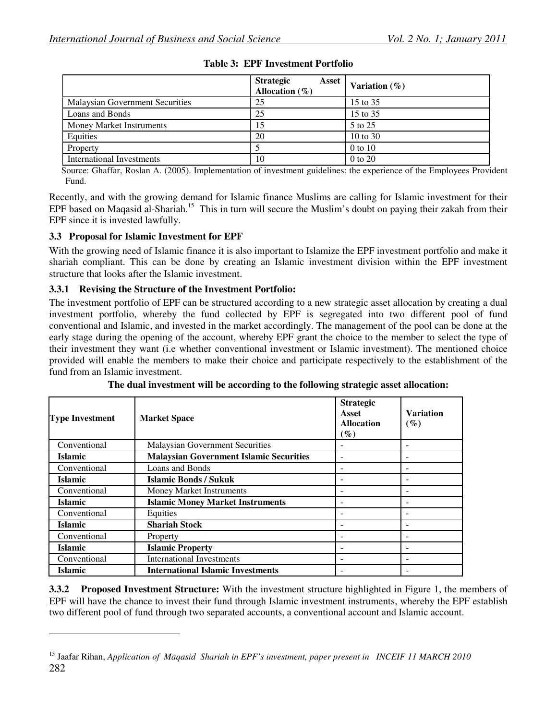|                                        | <b>Strategic</b><br>Asset<br>Allocation $(\% )$ | Variation $(\%)$ |
|----------------------------------------|-------------------------------------------------|------------------|
| <b>Malaysian Government Securities</b> | 25                                              | 15 to 35         |
| Loans and Bonds                        | 25                                              | 15 to 35         |
| <b>Money Market Instruments</b>        | 15                                              | 5 to 25          |
| Equities                               | 20                                              | 10 to 30         |
| Property                               |                                                 | $0$ to $10$      |
| International Investments              | 10                                              | 0 to 20          |

**Table 3: EPF Investment Portfolio** 

Source: Ghaffar, Roslan A. (2005). Implementation of investment guidelines: the experience of the Employees Provident Fund.

Recently, and with the growing demand for Islamic finance Muslims are calling for Islamic investment for their EPF based on Maqasid al-Shariah.<sup>15</sup> This in turn will secure the Muslim's doubt on paying their zakah from their EPF since it is invested lawfully.

#### **3.3 Proposal for Islamic Investment for EPF**

-

With the growing need of Islamic finance it is also important to Islamize the EPF investment portfolio and make it shariah compliant. This can be done by creating an Islamic investment division within the EPF investment structure that looks after the Islamic investment.

#### **3.3.1 Revising the Structure of the Investment Portfolio:**

The investment portfolio of EPF can be structured according to a new strategic asset allocation by creating a dual investment portfolio, whereby the fund collected by EPF is segregated into two different pool of fund conventional and Islamic, and invested in the market accordingly. The management of the pool can be done at the early stage during the opening of the account, whereby EPF grant the choice to the member to select the type of their investment they want (i.e whether conventional investment or Islamic investment). The mentioned choice provided will enable the members to make their choice and participate respectively to the establishment of the fund from an Islamic investment.

| <b>Type Investment</b>                    | <b>Market Space</b>                            | <b>Strategic</b><br>Asset<br><b>Allocation</b><br>$(\%)$ | <b>Variation</b><br>$(\%)$ |
|-------------------------------------------|------------------------------------------------|----------------------------------------------------------|----------------------------|
| Conventional                              | <b>Malaysian Government Securities</b>         |                                                          |                            |
| <b>Islamic</b>                            | <b>Malaysian Government Islamic Securities</b> |                                                          |                            |
| Conventional                              | Loans and Bonds                                |                                                          |                            |
| <b>Islamic</b>                            | <b>Islamic Bonds / Sukuk</b>                   |                                                          |                            |
| Conventional                              | Money Market Instruments                       |                                                          |                            |
| <b>Islamic</b>                            | <b>Islamic Money Market Instruments</b>        |                                                          |                            |
| Conventional                              | Equities                                       |                                                          |                            |
| <b>Islamic</b>                            | <b>Shariah Stock</b>                           |                                                          |                            |
| Conventional                              | Property                                       |                                                          |                            |
| <b>Islamic</b><br><b>Islamic Property</b> |                                                |                                                          |                            |
| Conventional                              | <b>International Investments</b>               |                                                          |                            |
| <b>Islamic</b>                            | <b>International Islamic Investments</b>       |                                                          |                            |

**The dual investment will be according to the following strategic asset allocation:** 

**3.3.2 Proposed Investment Structure:** With the investment structure highlighted in Figure 1, the members of EPF will have the chance to invest their fund through Islamic investment instruments, whereby the EPF establish two different pool of fund through two separated accounts, a conventional account and Islamic account.

<sup>282</sup>  <sup>15</sup> Jaafar Rihan, *Application of Maqasid Shariah in EPF's investment, paper present in INCEIF 11 MARCH 2010*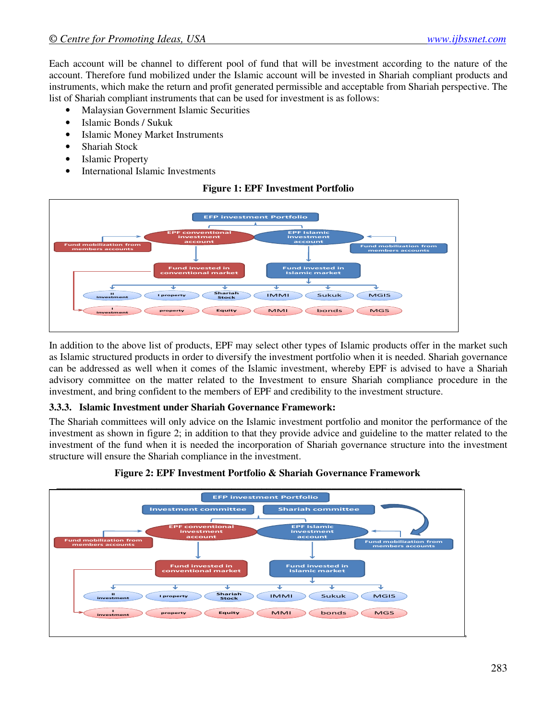Each account will be channel to different pool of fund that will be investment according to the nature of the account. Therefore fund mobilized under the Islamic account will be invested in Shariah compliant products and instruments, which make the return and profit generated permissible and acceptable from Shariah perspective. The list of Shariah compliant instruments that can be used for investment is as follows:

- Malaysian Government Islamic Securities
- Islamic Bonds / Sukuk
- Islamic Money Market Instruments
- Shariah Stock
- Islamic Property
- International Islamic Investments

#### **Figure 1: EPF Investment Portfolio**



In addition to the above list of products, EPF may select other types of Islamic products offer in the market such as Islamic structured products in order to diversify the investment portfolio when it is needed. Shariah governance can be addressed as well when it comes of the Islamic investment, whereby EPF is advised to have a Shariah advisory committee on the matter related to the Investment to ensure Shariah compliance procedure in the investment, and bring confident to the members of EPF and credibility to the investment structure.

#### **3.3.3. Islamic Investment under Shariah Governance Framework:**

The Shariah committees will only advice on the Islamic investment portfolio and monitor the performance of the investment as shown in figure 2; in addition to that they provide advice and guideline to the matter related to the investment of the fund when it is needed the incorporation of Shariah governance structure into the investment structure will ensure the Shariah compliance in the investment.



#### **Figure 2: EPF Investment Portfolio & Shariah Governance Framework**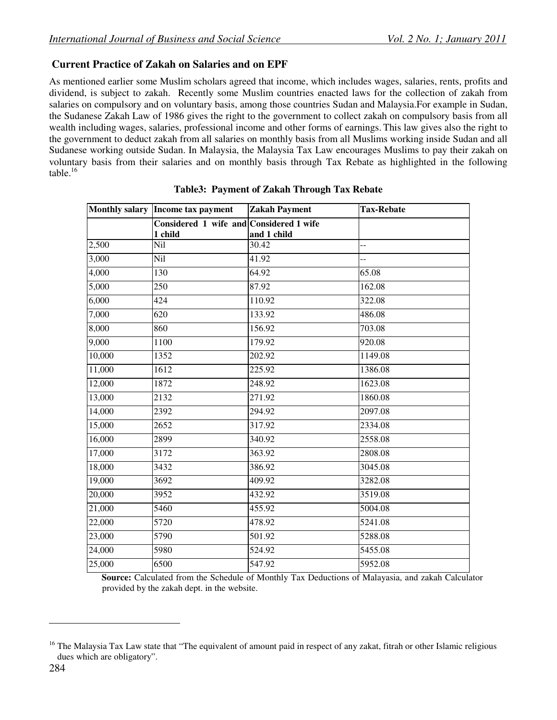# **Current Practice of Zakah on Salaries and on EPF**

As mentioned earlier some Muslim scholars agreed that income, which includes wages, salaries, rents, profits and dividend, is subject to zakah. Recently some Muslim countries enacted laws for the collection of zakah from salaries on compulsory and on voluntary basis, among those countries Sudan and Malaysia.For example in Sudan, the Sudanese Zakah Law of 1986 gives the right to the government to collect zakah on compulsory basis from all wealth including wages, salaries, professional income and other forms of earnings. This law gives also the right to the government to deduct zakah from all salaries on monthly basis from all Muslims working inside Sudan and all Sudanese working outside Sudan. In Malaysia, the Malaysia Tax Law encourages Muslims to pay their zakah on voluntary basis from their salaries and on monthly basis through Tax Rebate as highlighted in the following table. $^{16}$ 

|        | Monthly salary Income tax payment                  | <b>Zakah Payment</b> | <b>Tax-Rebate</b> |
|--------|----------------------------------------------------|----------------------|-------------------|
|        | Considered 1 wife and Considered 1 wife<br>1 child | and 1 child          |                   |
| 2,500  | Nil                                                | 30.42                | --                |
| 3,000  | Nil                                                | 41.92                | $-$               |
| 4,000  | 130                                                | 64.92                | 65.08             |
| 5,000  | 250                                                | 87.92                | 162.08            |
| 6,000  | 424                                                | 110.92               | 322.08            |
| 7,000  | 620                                                | 133.92               | 486.08            |
| 8,000  | 860                                                | 156.92               | 703.08            |
| 9,000  | 1100                                               | 179.92               | 920.08            |
| 10,000 | 1352                                               | 202.92               | 1149.08           |
| 11,000 | 1612                                               | 225.92               | 1386.08           |
| 12,000 | 1872                                               | 248.92               | 1623.08           |
| 13,000 | 2132                                               | 271.92               | 1860.08           |
| 14,000 | 2392                                               | 294.92               | 2097.08           |
| 15,000 | 2652                                               | 317.92               | 2334.08           |
| 16,000 | 2899                                               | 340.92               | 2558.08           |
| 17,000 | 3172                                               | 363.92               | 2808.08           |
| 18,000 | 3432                                               | 386.92               | 3045.08           |
| 19,000 | 3692                                               | 409.92               | 3282.08           |
| 20,000 | 3952                                               | 432.92               | 3519.08           |
| 21,000 | 5460                                               | 455.92               | 5004.08           |
| 22,000 | 5720                                               | 478.92               | 5241.08           |
| 23,000 | 5790                                               | 501.92               | 5288.08           |
| 24,000 | 5980                                               | 524.92               | 5455.08           |
| 25,000 | 6500                                               | 547.92               | 5952.08           |

### **Table3: Payment of Zakah Through Tax Rebate**

 **Source:** Calculated from the Schedule of Monthly Tax Deductions of Malayasia, and zakah Calculator provided by the zakah dept. in the website.

<u>.</u>

<sup>&</sup>lt;sup>16</sup> The Malaysia Tax Law state that "The equivalent of amount paid in respect of any zakat, fitrah or other Islamic religious dues which are obligatory".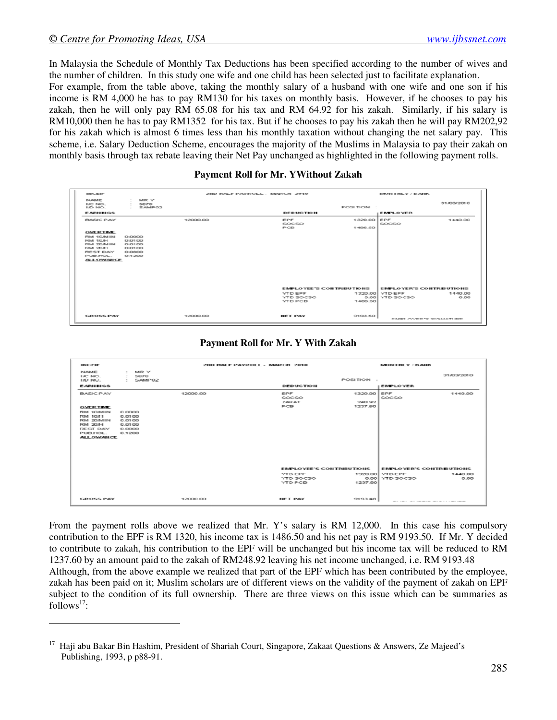<u>.</u>

In Malaysia the Schedule of Monthly Tax Deductions has been specified according to the number of wives and the number of children. In this study one wife and one child has been selected just to facilitate explanation.

For example, from the table above, taking the monthly salary of a husband with one wife and one son if his income is RM 4,000 he has to pay RM130 for his taxes on monthly basis. However, if he chooses to pay his zakah, then he will only pay RM 65.08 for his tax and RM 64.92 for his zakah. Similarly, if his salary is RM10,000 then he has to pay RM1352 for his tax. But if he chooses to pay his zakah then he will pay RM202,92 for his zakah which is almost 6 times less than his monthly taxation without changing the net salary pay. This scheme, i.e. Salary Deduction Scheme, encourages the majority of the Muslims in Malaysia to pay their zakah on monthly basis through tax rebate leaving their Net Pay unchanged as highlighted in the following payment rolls.

#### **Payment Roll for Mr. YWithout Zakah**

| <b>BURNLING BET</b>                                                                                                                                |                                                                   |            | STEED ENGINEER INVOLVEMENT - INSURANCE STATES                                               |                                        | INDUSTRIES THE YEAR OLD AND RES.                              |                                                             |
|----------------------------------------------------------------------------------------------------------------------------------------------------|-------------------------------------------------------------------|------------|---------------------------------------------------------------------------------------------|----------------------------------------|---------------------------------------------------------------|-------------------------------------------------------------|
| <b>INJURIE</b><br>LIC NICH<br>LID: NIO                                                                                                             | <b>MRY</b><br>$\sim$<br>5678<br><b>COLLEGE</b><br>SAMPO2<br>THE R |            |                                                                                             | POSITION :                             |                                                               | 31/03/2010                                                  |
| 日本経済開催の名                                                                                                                                           |                                                                   |            | DED UC TIO H.                                                                               |                                        | <b>ENEY OVER</b>                                              |                                                             |
| <b>BASIC PAY</b><br><b>CHUTE BRIT BUTE</b><br>FOAT 10/04 TN<br>FOM 1006-0<br>FOM COURSED.<br>FOM 20041<br>REST DAY<br>PUBLHOL.<br><b>ALLOWANCE</b> | 0.0000<br>0.0100<br>0.0100<br>0.0100<br>0.0800<br>0.1200          | 12000.00   | 田野田<br>SOC50<br>POB                                                                         | 1320.00 EPF<br>1486.50                 | SOCSO                                                         | 1440.00                                                     |
| <b>GROSS PAY</b>                                                                                                                                   |                                                                   | 120000-001 | EMPLOYEE'S CONTRIBUTIONS<br><b>YTD EPF</b><br>YTD SOCSO<br><b>YTD PCB</b><br><b>NET PAY</b> | 1320.00<br>0.001<br>1486.50<br>9193.50 | <b>EMPLOYER'S CONTREUTIONS</b><br><b>VTD EPF</b><br>YTD SOCSO | 1440.00<br>0.00<br>CLAUSTER VALUES CONTRACTOR AND RESIDENTS |

#### **Payment Roll for Mr. Y With Zakah**

| <b>HICEHF</b>                                                                                                        |                                                          | 211D HALF PAYROLL - MARCH 2010 |                                               |                              | IVIOLET HE Y / B ALLIK                                                                                          |                 |
|----------------------------------------------------------------------------------------------------------------------|----------------------------------------------------------|--------------------------------|-----------------------------------------------|------------------------------|-----------------------------------------------------------------------------------------------------------------|-----------------|
| NUMBARE<br>LIC NO.<br><b>LID NO.</b>                                                                                 | NURL V.<br>$\sim$<br>S676<br>$\sim$<br>SAMP02            |                                |                                               | <b>POSITION:</b>             |                                                                                                                 | 31/03/2010      |
| <b>EARULUGS</b>                                                                                                      |                                                          |                                | <b>DEDUCTION</b>                              |                              | EIMPLOYER.                                                                                                      |                 |
| <b>BASIC PAY</b>                                                                                                     |                                                          | 12000.00                       | 旧户所<br><b>SOCSO</b><br><b>TAKAT</b>           | 1320.00 EPF<br>248.92        | SOCSO                                                                                                           | 1440.00         |
| OWER TIME<br><b>FOM 100/MIN</b><br>FOM SOME<br>RIM 20/MIN<br><b>BM 2044</b><br>REST DAY<br>PUBLI-IOL<br>ALL ON/AN CE | 0.0000<br>0.0100<br>0.0100<br>0.0100<br>0.0800<br>0.1200 |                                | <b>PICB</b>                                   | 1237.60                      |                                                                                                                 |                 |
|                                                                                                                      |                                                          |                                | <b>FIVELOVEE'S CONTRIBUTIONS</b>              |                              | <b>EMPLOYER'S CONTREUTIONS</b>                                                                                  |                 |
|                                                                                                                      |                                                          |                                | <b>YTD ERE</b><br>YTD SOCSO<br><b>WTD-POB</b> | 1320,001<br>0.001<br>1237.60 | <b>YTD EPF</b><br><b>YTD SOCSO</b>                                                                              | 1440.00<br>0.00 |
| <b>GROSS PAY</b>                                                                                                     |                                                          | 12000.00                       | <b>BUELT BACK</b>                             | 9193.48                      | the contract of the contract of the contract of the contract of the contract of the contract of the contract of |                 |

From the payment rolls above we realized that Mr. Y's salary is RM 12,000. In this case his compulsory contribution to the EPF is RM 1320, his income tax is 1486.50 and his net pay is RM 9193.50. If Mr. Y decided to contribute to zakah, his contribution to the EPF will be unchanged but his income tax will be reduced to RM 1237.60 by an amount paid to the zakah of RM248.92 leaving his net income unchanged, i.e. RM 9193.48 Although, from the above example we realized that part of the EPF which has been contributed by the employee, zakah has been paid on it; Muslim scholars are of different views on the validity of the payment of zakah on EPF subject to the condition of its full ownership. There are three views on this issue which can be summaries as follows $17$ :

<sup>17</sup> Haji abu Bakar Bin Hashim, President of Shariah Court, Singapore, Zakaat Questions & Answers, Ze Majeed's Publishing, 1993, p p88-91.